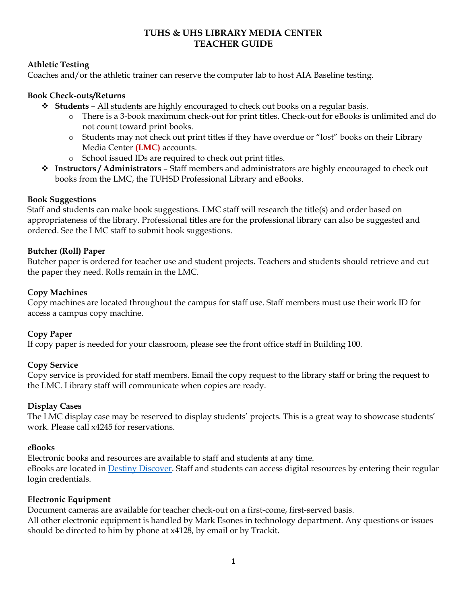# TUHS & UHS LIBRARY MEDIA CENTER TEACHER GUIDE

### Athletic Testing

Coaches and/or the athletic trainer can reserve the computer lab to host AIA Baseline testing.

### Book Check-outs/Returns

- $\div$  Students All students are highly encouraged to check out books on a regular basis.
	- o There is a 3-book maximum check-out for print titles. Check-out for eBooks is unlimited and do not count toward print books.
	- o Students may not check out print titles if they have overdue or "lost" books on their Library Media Center (LMC) accounts.
	- o School issued IDs are required to check out print titles.
- \* Instructors / Administrators Staff members and administrators are highly encouraged to check out books from the LMC, the TUHSD Professional Library and eBooks.

### Book Suggestions

Staff and students can make book suggestions. LMC staff will research the title(s) and order based on appropriateness of the library. Professional titles are for the professional library can also be suggested and ordered. See the LMC staff to submit book suggestions.

### Butcher (Roll) Paper

Butcher paper is ordered for teacher use and student projects. Teachers and students should retrieve and cut the paper they need. Rolls remain in the LMC.

### Copy Machines

Copy machines are located throughout the campus for staff use. Staff members must use their work ID for access a campus copy machine.

# Copy Paper

If copy paper is needed for your classroom, please see the front office staff in Building 100.

### Copy Service

Copy service is provided for staff members. Email the copy request to the library staff or bring the request to the LMC. Library staff will communicate when copies are ready.

### Display Cases

The LMC display case may be reserved to display students' projects. This is a great way to showcase students' work. Please call x4245 for reservations.

### eBooks

Electronic books and resources are available to staff and students at any time. eBooks are located in Destiny Discover. Staff and students can access digital resources by entering their regular login credentials.

### Electronic Equipment

Document cameras are available for teacher check-out on a first-come, first-served basis. All other electronic equipment is handled by Mark Esones in technology department. Any questions or issues should be directed to him by phone at x4128, by email or by Trackit.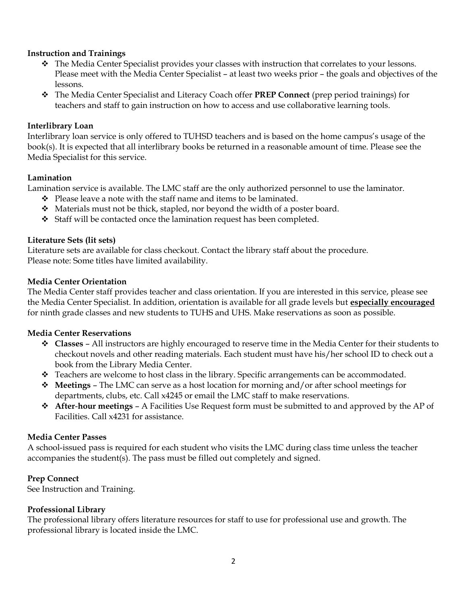### Instruction and Trainings

- $\hat{\cdot}$  The Media Center Specialist provides your classes with instruction that correlates to your lessons. Please meet with the Media Center Specialist – at least two weeks prior – the goals and objectives of the lessons.
- \* The Media Center Specialist and Literacy Coach offer **PREP Connect** (prep period trainings) for teachers and staff to gain instruction on how to access and use collaborative learning tools.

### Interlibrary Loan

Interlibrary loan service is only offered to TUHSD teachers and is based on the home campus's usage of the book(s). It is expected that all interlibrary books be returned in a reasonable amount of time. Please see the Media Specialist for this service.

### Lamination

Lamination service is available. The LMC staff are the only authorized personnel to use the laminator.

- $\div$  Please leave a note with the staff name and items to be laminated.
- $\triangle$  Materials must not be thick, stapled, nor beyond the width of a poster board.
- Staff will be contacted once the lamination request has been completed.

### Literature Sets (lit sets)

Literature sets are available for class checkout. Contact the library staff about the procedure. Please note: Some titles have limited availability.

### Media Center Orientation

The Media Center staff provides teacher and class orientation. If you are interested in this service, please see the Media Center Specialist. In addition, orientation is available for all grade levels but especially encouraged for ninth grade classes and new students to TUHS and UHS. Make reservations as soon as possible.

### Media Center Reservations

- $\div$  Classes All instructors are highly encouraged to reserve time in the Media Center for their students to checkout novels and other reading materials. Each student must have his/her school ID to check out a book from the Library Media Center.
- \* Teachers are welcome to host class in the library. Specific arrangements can be accommodated.
- $\mathbf{\hat{P}}$  Meetings The LMC can serve as a host location for morning and/or after school meetings for departments, clubs, etc. Call x4245 or email the LMC staff to make reservations.
- $\triangle$  After-hour meetings A Facilities Use Request form must be submitted to and approved by the AP of Facilities. Call x4231 for assistance.

### Media Center Passes

A school-issued pass is required for each student who visits the LMC during class time unless the teacher accompanies the student(s). The pass must be filled out completely and signed.

### Prep Connect

See Instruction and Training.

### Professional Library

The professional library offers literature resources for staff to use for professional use and growth. The professional library is located inside the LMC.